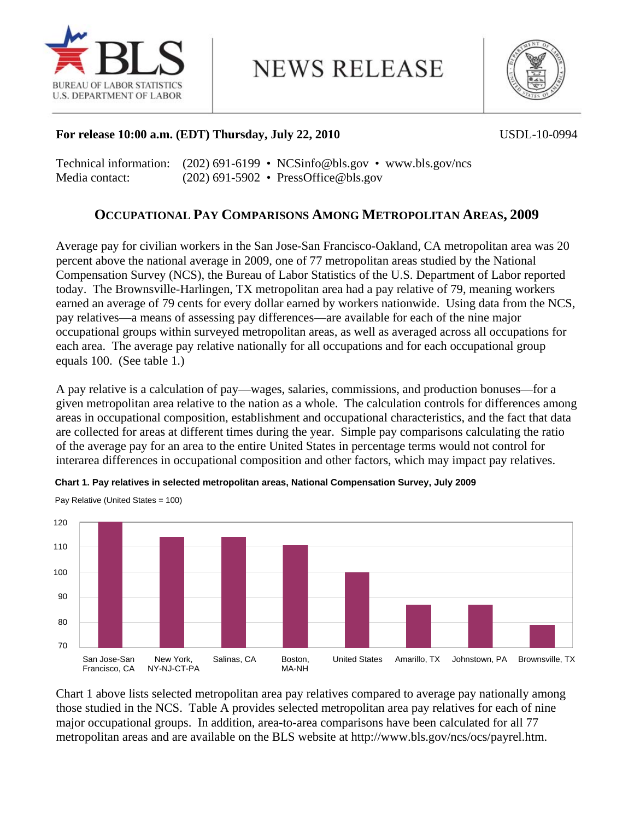

**NEWS RELEASE** 



## **For release 10:00 a.m. (EDT) Thursday, July 22, 2010** USDL-10-0994

Technical information: (202) 691-6199 • NCSinfo@bls.gov • www.bls.gov/ncs Media contact: (202) 691-5902 • PressOffice@bls.gov

# **OCCUPATIONAL PAY COMPARISONS AMONG METROPOLITAN AREAS, 2009**

Average pay for civilian workers in the San Jose-San Francisco-Oakland, CA metropolitan area was 20 percent above the national average in 2009, one of 77 metropolitan areas studied by the National Compensation Survey (NCS), the Bureau of Labor Statistics of the U.S. Department of Labor reported today. The Brownsville-Harlingen, TX metropolitan area had a pay relative of 79, meaning workers earned an average of 79 cents for every dollar earned by workers nationwide. Using data from the NCS, pay relatives—a means of assessing pay differences—are available for each of the nine major occupational groups within surveyed metropolitan areas, as well as averaged across all occupations for each area. The average pay relative nationally for all occupations and for each occupational group equals 100. (See table 1.)

A pay relative is a calculation of pay—wages, salaries, commissions, and production bonuses—for a given metropolitan area relative to the nation as a whole. The calculation controls for differences among areas in occupational composition, establishment and occupational characteristics, and the fact that data are collected for areas at different times during the year. Simple pay comparisons calculating the ratio of the average pay for an area to the entire United States in percentage terms would not control for interarea differences in occupational composition and other factors, which may impact pay relatives.



**Chart 1. Pay relatives in selected metropolitan areas, National Compensation Survey, July 2009** 

Chart 1 above lists selected metropolitan area pay relatives compared to average pay nationally among those studied in the NCS. Table A provides selected metropolitan area pay relatives for each of nine major occupational groups. In addition, area-to-area comparisons have been calculated for all 77 metropolitan areas and are available on the BLS website at http://www.bls.gov/ncs/ocs/payrel.htm.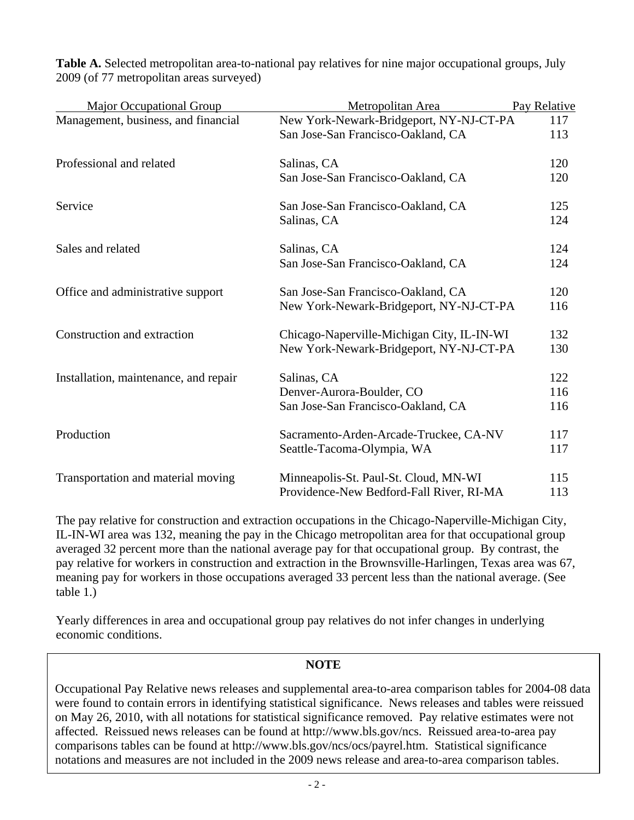| <b>Major Occupational Group</b>       | Metropolitan Area                          | Pay Relative |  |
|---------------------------------------|--------------------------------------------|--------------|--|
| Management, business, and financial   | New York-Newark-Bridgeport, NY-NJ-CT-PA    | 117<br>113   |  |
|                                       | San Jose-San Francisco-Oakland, CA         |              |  |
| Professional and related              | Salinas, CA                                | 120          |  |
|                                       | San Jose-San Francisco-Oakland, CA         | 120          |  |
| Service                               | San Jose-San Francisco-Oakland, CA         | 125          |  |
|                                       | Salinas, CA                                | 124          |  |
| Sales and related                     | Salinas, CA                                | 124          |  |
|                                       | San Jose-San Francisco-Oakland, CA         | 124          |  |
| Office and administrative support     | San Jose-San Francisco-Oakland, CA         | 120          |  |
|                                       | New York-Newark-Bridgeport, NY-NJ-CT-PA    | 116          |  |
| Construction and extraction           | Chicago-Naperville-Michigan City, IL-IN-WI | 132          |  |
|                                       | New York-Newark-Bridgeport, NY-NJ-CT-PA    | 130          |  |
| Installation, maintenance, and repair | Salinas, CA                                | 122          |  |
|                                       | Denver-Aurora-Boulder, CO                  | 116          |  |
|                                       | San Jose-San Francisco-Oakland, CA         | 116          |  |
| Production                            | Sacramento-Arden-Arcade-Truckee, CA-NV     | 117          |  |
|                                       | Seattle-Tacoma-Olympia, WA                 | 117          |  |
| Transportation and material moving    | Minneapolis-St. Paul-St. Cloud, MN-WI      | 115          |  |
|                                       | Providence-New Bedford-Fall River, RI-MA   | 113          |  |

**Table A.** Selected metropolitan area-to-national pay relatives for nine major occupational groups, July 2009 (of 77 metropolitan areas surveyed)

The pay relative for construction and extraction occupations in the Chicago-Naperville-Michigan City, IL-IN-WI area was 132, meaning the pay in the Chicago metropolitan area for that occupational group averaged 32 percent more than the national average pay for that occupational group. By contrast, the pay relative for workers in construction and extraction in the Brownsville-Harlingen, Texas area was 67, meaning pay for workers in those occupations averaged 33 percent less than the national average. (See table 1.)

Yearly differences in area and occupational group pay relatives do not infer changes in underlying economic conditions.

## **NOTE**

Occupational Pay Relative news releases and supplemental area-to-area comparison tables for 2004-08 data were found to contain errors in identifying statistical significance. News releases and tables were reissued on May 26, 2010, with all notations for statistical significance removed. Pay relative estimates were not affected. Reissued news releases can be found at http://www.bls.gov/ncs. Reissued area-to-area pay comparisons tables can be found at http://www.bls.gov/ncs/ocs/payrel.htm. Statistical significance notations and measures are not included in the 2009 news release and area-to-area comparison tables.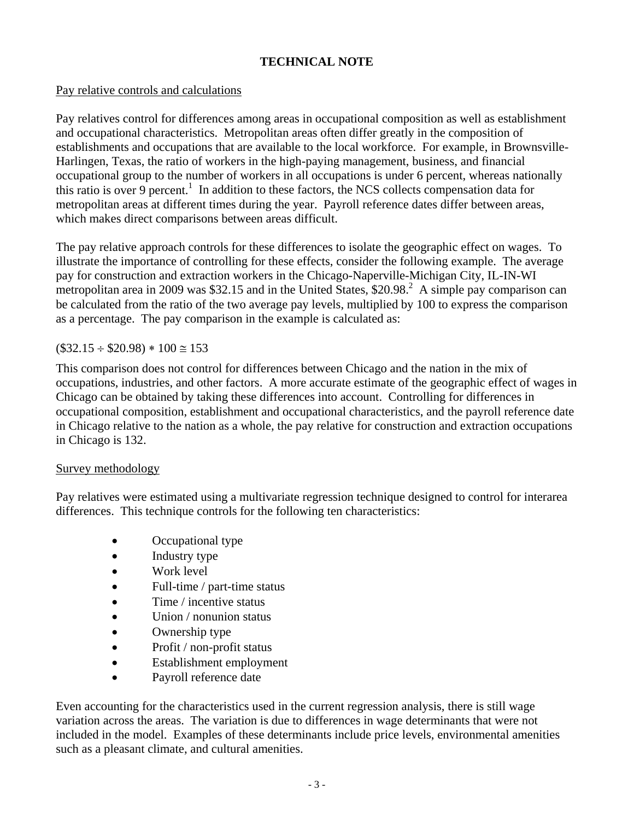# **TECHNICAL NOTE**

# Pay relative controls and calculations

Pay relatives control for differences among areas in occupational composition as well as establishment and occupational characteristics. Metropolitan areas often differ greatly in the composition of establishments and occupations that are available to the local workforce. For example, in Brownsville-Harlingen, Texas, the ratio of workers in the high-paying management, business, and financial occupational group to the number of workers in all occupations is under 6 percent, whereas nationally this ratio is over 9 percent.<sup>1</sup> In addition to these factors, the NCS collects compensation data for metropolitan areas at different times during the year. Payroll reference dates differ between areas, which makes direct comparisons between areas difficult.

The pay relative approach controls for these differences to isolate the geographic effect on wages. To illustrate the importance of controlling for these effects, consider the following example. The average pay for construction and extraction workers in the Chicago-Naperville-Michigan City, IL-IN-WI metropolitan area in 2009 was \$32.15 and in the United States,  $$20.98<sup>2</sup>$  A simple pay comparison can be calculated from the ratio of the two average pay levels, multiplied by 100 to express the comparison as a percentage. The pay comparison in the example is calculated as:

# $($32.15 \div $20.98) * 100 \approx 153$

This comparison does not control for differences between Chicago and the nation in the mix of occupations, industries, and other factors. A more accurate estimate of the geographic effect of wages in Chicago can be obtained by taking these differences into account. Controlling for differences in occupational composition, establishment and occupational characteristics, and the payroll reference date in Chicago relative to the nation as a whole, the pay relative for construction and extraction occupations in Chicago is 132.

## Survey methodology

Pay relatives were estimated using a multivariate regression technique designed to control for interarea differences. This technique controls for the following ten characteristics:

- Occupational type
- Industry type
- Work level
- Full-time / part-time status
- Time / incentive status
- Union / nonunion status
- Ownership type
- Profit / non-profit status
- Establishment employment
- Payroll reference date

Even accounting for the characteristics used in the current regression analysis, there is still wage variation across the areas. The variation is due to differences in wage determinants that were not included in the model. Examples of these determinants include price levels, environmental amenities such as a pleasant climate, and cultural amenities.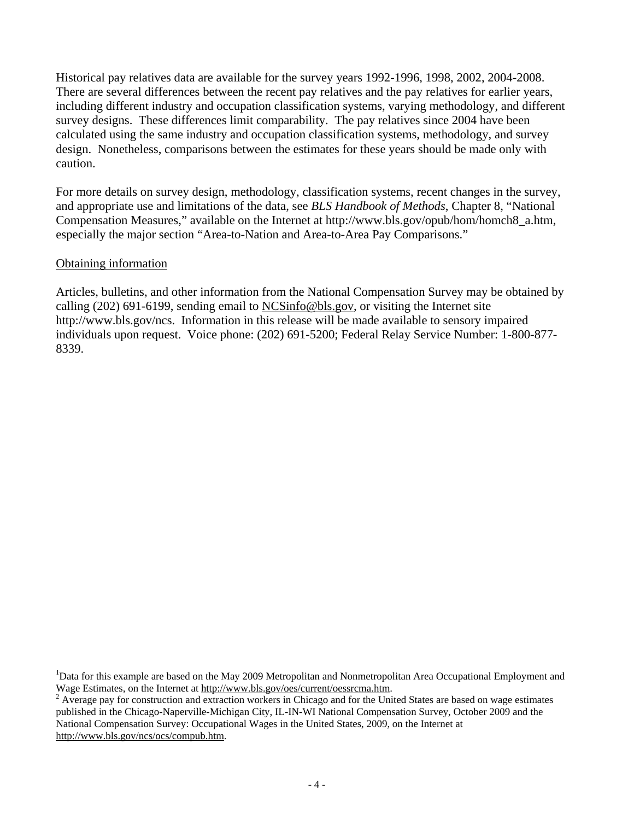Historical pay relatives data are available for the survey years 1992-1996, 1998, 2002, 2004-2008. There are several differences between the recent pay relatives and the pay relatives for earlier years, including different industry and occupation classification systems, varying methodology, and different survey designs. These differences limit comparability. The pay relatives since 2004 have been calculated using the same industry and occupation classification systems, methodology, and survey design. Nonetheless, comparisons between the estimates for these years should be made only with caution.

For more details on survey design, methodology, classification systems, recent changes in the survey, and appropriate use and limitations of the data, see *BLS Handbook of Methods*, Chapter 8, "National Compensation Measures," available on the Internet at http://www.bls.gov/opub/hom/homch8\_a.htm, especially the major section "Area-to-Nation and Area-to-Area Pay Comparisons."

#### Obtaining information

Articles, bulletins, and other information from the National Compensation Survey may be obtained by calling (202) 691-6199, sending email to  $NCSinfo@bls.gov$ , or visiting the Internet site http://www.bls.gov/ncs. Information in this release will be made available to sensory impaired individuals upon request. Voice phone: (202) 691-5200; Federal Relay Service Number: 1-800-877- 8339.

<sup>&</sup>lt;sup>1</sup>Data for this example are based on the May 2009 Metropolitan and Nonmetropolitan Area Occupational Employment and Wage Estimates, on the Internet at http://www.bls.gov/oes/current/oessrcma.htm. 2

 $2$  Average pay for construction and extraction workers in Chicago and for the United States are based on wage estimates published in the Chicago-Naperville-Michigan City, IL-IN-WI National Compensation Survey, October 2009 and the National Compensation Survey: Occupational Wages in the United States, 2009, on the Internet at http://www.bls.gov/ncs/ocs/compub.htm.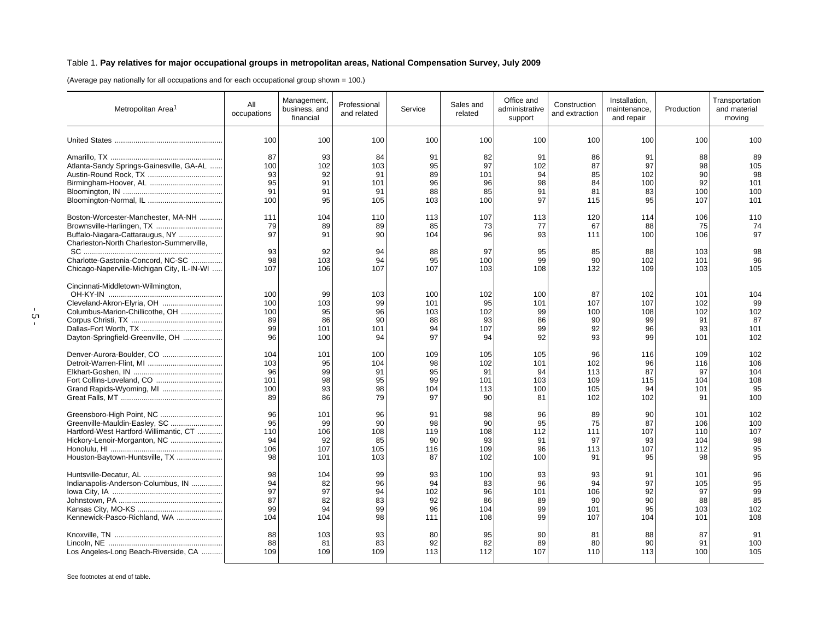#### Table 1. **Pay relatives for major occupational groups in metropolitan areas, National Compensation Survey, July 2009**

(Average pay nationally for all occupations and for each occupational group shown = 100.)

| Metropolitan Area <sup>1</sup>                                                                                                                                                                                                    | All<br>occupations                  | Management,<br>business, and<br>financial | Professional<br>and related        | Service                             | Sales and<br>related                | Office and<br>administrative<br>support | Construction<br>and extraction      | Installation.<br>maintenance,<br>and repair | Production                            | Transportation<br>and material<br>moving |
|-----------------------------------------------------------------------------------------------------------------------------------------------------------------------------------------------------------------------------------|-------------------------------------|-------------------------------------------|------------------------------------|-------------------------------------|-------------------------------------|-----------------------------------------|-------------------------------------|---------------------------------------------|---------------------------------------|------------------------------------------|
|                                                                                                                                                                                                                                   | 100                                 | 100                                       | 100                                | 100                                 | 100                                 | 100                                     | 100                                 | 100                                         | 100                                   | 100                                      |
|                                                                                                                                                                                                                                   | 87                                  | 93                                        | 84                                 | 91                                  | 82                                  | 91                                      | 86                                  | 91                                          | 88                                    | 89                                       |
| Atlanta-Sandy Springs-Gainesville, GA-AL                                                                                                                                                                                          | 100                                 | 102                                       | 103                                | 95                                  | 97                                  | 102                                     | 87                                  | 97                                          | 98                                    | 105                                      |
|                                                                                                                                                                                                                                   | 93                                  | 92                                        | 91                                 | 89                                  | 101                                 | 94                                      | 85                                  | 102                                         | 90                                    | 98                                       |
|                                                                                                                                                                                                                                   | 95                                  | 91                                        | 101                                | 96                                  | 96                                  | 98                                      | 84                                  | 100                                         | 92                                    | 101                                      |
|                                                                                                                                                                                                                                   | 91                                  | 91                                        | 91                                 | 88                                  | 85                                  | 91                                      | 81                                  | 83                                          | 100                                   | 100                                      |
|                                                                                                                                                                                                                                   | 100                                 | 95                                        | 105                                | 103                                 | 100                                 | 97                                      | 115                                 | 95                                          | 107                                   | 101                                      |
| Boston-Worcester-Manchester, MA-NH<br>Brownsville-Harlingen, TX<br>Buffalo-Niagara-Cattaraugus, NY<br>Charleston-North Charleston-Summerville,<br>Charlotte-Gastonia-Concord, NC-SC<br>Chicago-Naperville-Michigan City, IL-IN-WI | 111<br>79<br>97<br>93<br>98<br>107  | 104<br>89<br>91<br>92<br>103<br>106       | 110<br>89<br>90<br>94<br>94<br>107 | 113<br>85<br>104<br>88<br>95<br>107 | 107<br>73<br>96<br>97<br>100<br>103 | 113<br>77<br>93<br>95<br>99<br>108      | 120<br>67<br>111<br>85<br>90<br>132 | 114<br>88<br>100<br>88<br>102<br>109        | 106<br>75<br>106<br>103<br>101<br>103 | 110<br>74<br>97<br>98<br>96<br>105       |
| Cincinnati-Middletown-Wilmington,<br>Cleveland-Akron-Elyria, OH<br>Columbus-Marion-Chillicothe, OH<br>Dayton-Springfield-Greenville, OH                                                                                           | 100<br>100<br>100<br>89<br>99<br>96 | 99<br>103<br>95<br>86<br>101<br>100       | 103<br>99<br>96<br>90<br>101<br>94 | 100<br>101<br>103<br>88<br>94<br>97 | 102<br>95<br>102<br>93<br>107<br>94 | 100<br>101<br>99<br>86<br>99<br>92      | 87<br>107<br>100<br>90<br>92<br>93  | 102<br>107<br>108<br>99<br>96<br>99         | 101<br>102<br>102<br>91<br>93<br>101  | 104<br>99<br>102<br>87<br>101<br>102     |
| Denver-Aurora-Boulder, CO                                                                                                                                                                                                         | 104                                 | 101                                       | 100                                | 109                                 | 105                                 | 105                                     | 96                                  | 116                                         | 109                                   | 102                                      |
|                                                                                                                                                                                                                                   | 103                                 | 95                                        | 104                                | 98                                  | 102                                 | 101                                     | 102                                 | 96                                          | 116                                   | 106                                      |
|                                                                                                                                                                                                                                   | 96                                  | 99                                        | 91                                 | 95                                  | 91                                  | 94                                      | 113                                 | 87                                          | 97                                    | 104                                      |
|                                                                                                                                                                                                                                   | 101                                 | 98                                        | 95                                 | 99                                  | 101                                 | 103                                     | 109                                 | 115                                         | 104                                   | 108                                      |
| Grand Rapids-Wyoming, MI                                                                                                                                                                                                          | 100                                 | 93                                        | 98                                 | 104                                 | 113                                 | 100                                     | 105                                 | 94                                          | 101                                   | 95                                       |
|                                                                                                                                                                                                                                   | 89                                  | 86                                        | 79                                 | 97                                  | 90                                  | 81                                      | 102                                 | 102                                         | 91                                    | 100                                      |
| Greensboro-High Point, NC                                                                                                                                                                                                         | 96                                  | 101                                       | 96                                 | 91                                  | 98                                  | 96                                      | 89                                  | 90                                          | 101                                   | 102                                      |
| Greenville-Mauldin-Easley, SC                                                                                                                                                                                                     | 95                                  | 99                                        | 90                                 | 98                                  | 90                                  | 95                                      | 75                                  | 87                                          | 106                                   | 100                                      |
| Hartford-West Hartford-Willimantic, CT                                                                                                                                                                                            | 110                                 | 106                                       | 108                                | 119                                 | 108                                 | 112                                     | 111                                 | 107                                         | 110                                   | 107                                      |
| Hickory-Lenoir-Morganton, NC                                                                                                                                                                                                      | 94                                  | 92                                        | 85                                 | 90                                  | 93                                  | 91                                      | 97                                  | 93                                          | 104                                   | 98                                       |
|                                                                                                                                                                                                                                   | 106                                 | 107                                       | 105                                | 116                                 | 109                                 | 96                                      | 113                                 | 107                                         | 112                                   | 95                                       |
| Houston-Baytown-Huntsville, TX                                                                                                                                                                                                    | 98                                  | 101                                       | 103                                | 87                                  | 102                                 | 100                                     | 91                                  | 95                                          | 98                                    | 95                                       |
|                                                                                                                                                                                                                                   | 98                                  | 104                                       | 99                                 | 93                                  | 100                                 | 93                                      | 93                                  | 91                                          | 101                                   | 96                                       |
| Indianapolis-Anderson-Columbus, IN                                                                                                                                                                                                | 94                                  | 82                                        | 96                                 | 94                                  | 83                                  | 96                                      | 94                                  | 97                                          | 105                                   | 95                                       |
|                                                                                                                                                                                                                                   | 97                                  | 97                                        | 94                                 | 102                                 | 96                                  | 101                                     | 106                                 | 92                                          | 97                                    | 99                                       |
|                                                                                                                                                                                                                                   | 87                                  | 82                                        | 83                                 | 92                                  | 86                                  | 89                                      | 90                                  | 90                                          | 88                                    | 85                                       |
|                                                                                                                                                                                                                                   | 99                                  | 94                                        | 99                                 | 96                                  | 104                                 | 99                                      | 101                                 | 95                                          | 103                                   | 102                                      |
| Kennewick-Pasco-Richland, WA                                                                                                                                                                                                      | 104                                 | 104                                       | 98                                 | 111                                 | 108                                 | 99                                      | 107                                 | 104                                         | 101                                   | 108                                      |
|                                                                                                                                                                                                                                   | 88                                  | 103                                       | 93                                 | 80                                  | 95                                  | 90                                      | 81                                  | 88                                          | 87                                    | 91                                       |
|                                                                                                                                                                                                                                   | 88                                  | 81                                        | 83                                 | 92                                  | 82                                  | 89                                      | 80                                  | 90                                          | 91                                    | 100                                      |
| Los Angeles-Long Beach-Riverside, CA                                                                                                                                                                                              | 109                                 | 109                                       | 109                                | 113                                 | 112                                 | 107                                     | 110                                 | 113                                         | 100                                   | 105                                      |

See footnotes at end of table.

- 5 -